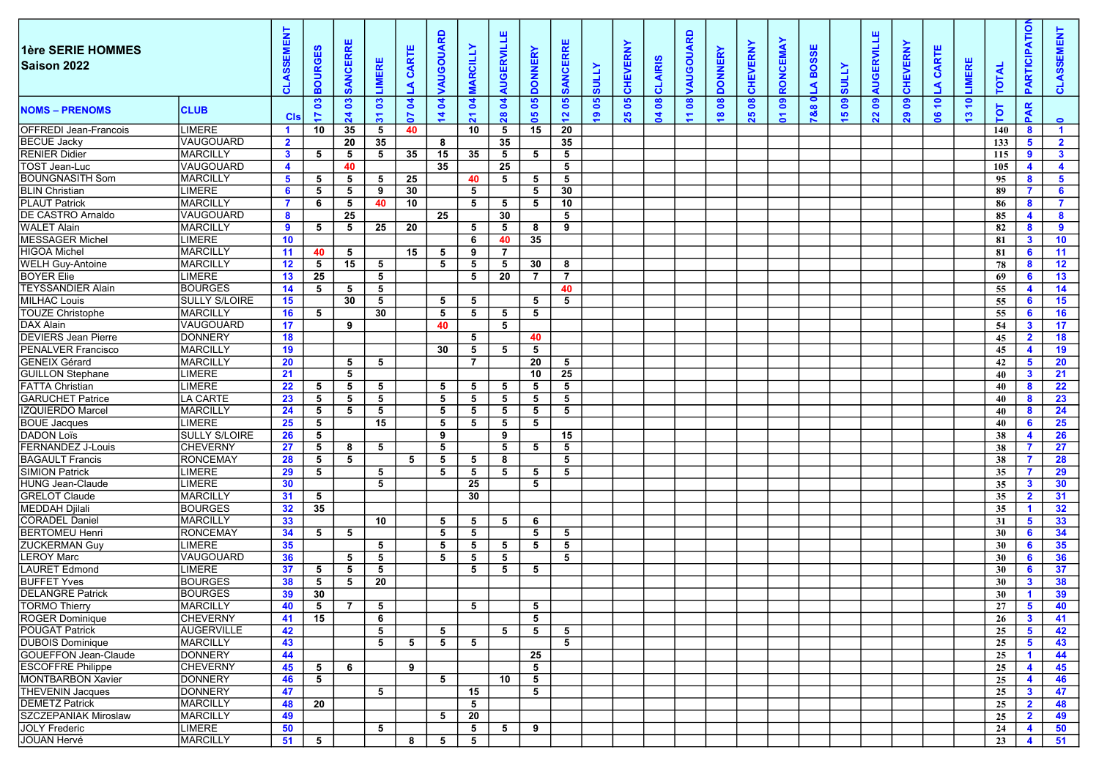| 1ère SERIE HOMMES<br>Saison 2022 |                      | <b>ASSEMEN</b><br>$\circ$ | <b>BOURGES</b>  | $\alpha$<br><b>ANCER</b><br>$\boldsymbol{\omega}$ | LIMERE                       | CARTE<br>◀     | <b>AUGOUARD</b>    | <b>MARCILLY</b>                     | <b>ERVILLE</b><br>por  | <b>DONNERY</b>  | ш<br>$\overline{\mathbf{r}}$<br><b>SANCERI</b> | <b>ATTINS</b>       | š.<br>띥<br>CHEV | <b>CLAIRIS</b>     | <b>AUGOUARD</b> | <b>DONNERY</b>                | <b>CHEVERNY</b>    | <b>RONCEMAY</b>            | <b>BOSSE</b><br>$\blacktriangleleft$ | <b>ATTOS</b>               | <b>AUGERVILLE</b> | <b>CHEVERNY</b> | CARTE<br>$\blacktriangleleft$ | LIMERE                      | <b>TOTA</b> | PARTICIPATIO                     | ဖ<br>ಕ           |
|----------------------------------|----------------------|---------------------------|-----------------|---------------------------------------------------|------------------------------|----------------|--------------------|-------------------------------------|------------------------|-----------------|------------------------------------------------|---------------------|-----------------|--------------------|-----------------|-------------------------------|--------------------|----------------------------|--------------------------------------|----------------------------|-------------------|-----------------|-------------------------------|-----------------------------|-------------|----------------------------------|------------------|
| <b>NOMS – PRENOMS</b>            | <b>CLUB</b>          | <b>CIS</b>                | ឌ<br>$\ddot{ }$ | $\mathbf{S}$<br>24                                | ឌ<br>$\overline{\mathbf{5}}$ | Z.<br>5        | S<br>$\frac{4}{7}$ | <b>S</b><br>$\overline{\mathbf{z}}$ | $\boldsymbol{z}$<br>28 | 80<br>80        | ိ<br>$\mathbf{r}$                              | 80<br>$\frac{9}{2}$ | 80<br>25        | ិន<br>$\mathbf{z}$ | 8<br>$\Xi$      | $\mathbf{g}$<br>$\frac{8}{1}$ | $\mathbf{a}$<br>25 | $\bf{e}$<br>$\overline{5}$ | 0<br>788                             | $\bullet$<br>$\frac{1}{2}$ | ီ<br>22           | ႜ<br>29         | $\epsilon$<br>$\mathbf{e}$    | $\epsilon$<br>$\frac{1}{2}$ | TOT         | PAR                              | $\bullet$        |
| <b>OFFREDI Jean-Francois</b>     | LIMERE               | $\mathbf 1$               | 10              | 35                                                | 5                            | 40             |                    | 10                                  | 5                      | 15              | 20                                             |                     |                 |                    |                 |                               |                    |                            |                                      |                            |                   |                 |                               |                             | 140         | 8                                | $\overline{1}$   |
| BECUE Jacky                      | lvaugouard           | $\mathbf{2}$              |                 | 20                                                | 35                           |                | 8                  |                                     | 35                     |                 | 35                                             |                     |                 |                    |                 |                               |                    |                            |                                      |                            |                   |                 |                               |                             | 133         | 5                                | $\mathbf{2}$     |
| <b>RENIER Didier</b>             | <b>MARCILLY</b>      | $\mathbf{3}$              | 5 <sub>5</sub>  | 5                                                 | 5                            | 35             | 15                 | 35                                  | 5                      | $5^{\circ}$     | 5                                              |                     |                 |                    |                 |                               |                    |                            |                                      |                            |                   |                 |                               |                             | 115         | 9                                | $\mathbf{3}$     |
| TOST Jean-Luc                    | VAUGOUARD            | $\overline{4}$            |                 | 40                                                |                              |                | 35                 |                                     | 25                     |                 | 5                                              |                     |                 |                    |                 |                               |                    |                            |                                      |                            |                   |                 |                               |                             | 105         | $\overline{\mathbf{4}}$          | 4                |
| <b>BOUNGNASITH Som</b>           | <b>MARCILLY</b>      | $5^{\circ}$               | 5               | $5^{\circ}$                                       | 5                            | 25             |                    | 40                                  | 5                      | 5               | 5                                              |                     |                 |                    |                 |                               |                    |                            |                                      |                            |                   |                 |                               |                             | 95          | 8                                | 5                |
| <b>BLIN Christian</b>            | LIMERE               | 6                         | 5               | 5 <sub>5</sub>                                    | 9                            | 30             |                    | 5                                   |                        | 5               | 30                                             |                     |                 |                    |                 |                               |                    |                            |                                      |                            |                   |                 |                               |                             | - 89        | -7                               | 6                |
| <b>PLAUT Patrick</b>             | <b>MARCILLY</b>      | $\mathbf{7}$              | 6               | 5                                                 | 40                           | 10             |                    | $5^{\circ}$                         | 5                      | $5^{\circ}$     | 10                                             |                     |                 |                    |                 |                               |                    |                            |                                      |                            |                   |                 |                               |                             | 86          | 8                                | $\mathbf{7}$     |
| <b>DE CASTRO Arnaldo</b>         | VAUGOUARD            | 8                         |                 | 25                                                |                              |                | 25                 |                                     | 30                     |                 | $5^{\circ}$                                    |                     |                 |                    |                 |                               |                    |                            |                                      |                            |                   |                 |                               |                             | 85          | $\overline{\mathbf{4}}$          | 8                |
| <b>WALET Alain</b>               | <b>MARCILLY</b>      | 9                         | 5               | 5 <sub>5</sub>                                    | 25                           | 20             |                    | 5                                   | 5                      | 8               | 9                                              |                     |                 |                    |                 |                               |                    |                            |                                      |                            |                   |                 |                               |                             | 82          | 8                                | 9                |
| MESSAGER Michel                  | LIMERE               | 10 <sup>°</sup>           |                 |                                                   |                              |                |                    | 6                                   | 40                     | 35              |                                                |                     |                 |                    |                 |                               |                    |                            |                                      |                            |                   |                 |                               |                             | 81          | $\mathbf{3}$                     | 10 <sup>°</sup>  |
| HIGOA Michel                     | MARCILLY             | 11                        | 40              | 5                                                 |                              | 15             | 5                  | 9                                   | $\overline{7}$         |                 |                                                |                     |                 |                    |                 |                               |                    |                            |                                      |                            |                   |                 |                               |                             | 81          | 6                                | 11               |
| <b>WELH Guy-Antoine</b>          | <b>MARCILLY</b>      | 12 <sub>2</sub>           | 5 <sub>5</sub>  | 15                                                | 5                            |                | 5                  | 5                                   | 5                      | 30              | 8                                              |                     |                 |                    |                 |                               |                    |                            |                                      |                            |                   |                 |                               |                             | 78          | 8                                | 12 <sup>12</sup> |
| <b>BOYER Elie</b>                | LIMERE               | 13 <sup>7</sup>           | 25              |                                                   | 5                            |                |                    | 5                                   | 20                     | $\overline{7}$  | $\overline{7}$                                 |                     |                 |                    |                 |                               |                    |                            |                                      |                            |                   |                 |                               |                             | -69         | 6                                | 13               |
| <b>TEYSSANDIER Alain</b>         | <b>BOURGES</b>       | 14                        | 5 <sub>5</sub>  | 5                                                 | 5                            |                |                    |                                     |                        |                 | 40                                             |                     |                 |                    |                 |                               |                    |                            |                                      |                            |                   |                 |                               |                             | 55          | $\overline{\mathbf{4}}$          | 14               |
| MILHAC Louis                     | <b>SULLY S/LOIRE</b> | 15 <sub>1</sub>           |                 | 30                                                | 5                            |                | 5                  | 5                                   |                        | $5\overline{5}$ | 5                                              |                     |                 |                    |                 |                               |                    |                            |                                      |                            |                   |                 |                               |                             | 55          | 6                                | 15 <sub>1</sub>  |
| <b>TOUZE Christophe</b>          | <b>MARCILLY</b>      | 16 <sup>1</sup>           | 5               |                                                   | 30                           |                | 5                  | $5^{\circ}$                         | 5                      | 5               |                                                |                     |                 |                    |                 |                               |                    |                            |                                      |                            |                   |                 |                               |                             | 55          | 6                                | 16               |
| DAX Alain                        | VAUGOUARD            | 17 <sub>1</sub>           |                 | 9                                                 |                              |                | 40                 |                                     | - 5                    |                 |                                                |                     |                 |                    |                 |                               |                    |                            |                                      |                            |                   |                 |                               |                             | 54          | $\mathbf{3}$                     | 17 <sub>1</sub>  |
| <b>DEVIERS Jean Pierre</b>       | <b>DONNERY</b>       | 18                        |                 |                                                   |                              |                |                    | 5                                   |                        | 40              |                                                |                     |                 |                    |                 |                               |                    |                            |                                      |                            |                   |                 |                               |                             | 45          | $\overline{\mathbf{2}}$          | 18               |
| <b>PENALVER Francisco</b>        | <b>MARCILLY</b>      | 19                        |                 |                                                   |                              |                | 30                 | 5                                   | 5                      | 5               |                                                |                     |                 |                    |                 |                               |                    |                            |                                      |                            |                   |                 |                               |                             | 45          | $\overline{\mathbf{4}}$          | 19               |
| GENEIX Gérard                    | <b>MARCILLY</b>      | 20                        |                 | 5                                                 | 5                            |                |                    | $\overline{7}$                      |                        | 20              | 5                                              |                     |                 |                    |                 |                               |                    |                            |                                      |                            |                   |                 |                               |                             | 42          | 5                                | 20               |
| <b>GUILLON Stephane</b>          | LIMERE               | 21                        |                 | $5\overline{5}$                                   |                              |                |                    |                                     |                        | 10              | 25                                             |                     |                 |                    |                 |                               |                    |                            |                                      |                            |                   |                 |                               |                             | 40          | $\mathbf{3}$                     | 21               |
| <b>FATTA Christian</b>           | <b>LIMERE</b>        | 22                        | 5               | 5                                                 | 5                            |                | 5                  | 5                                   | - 5                    | 5               | 5                                              |                     |                 |                    |                 |                               |                    |                            |                                      |                            |                   |                 |                               |                             | 40          | 8                                | 22               |
| <b>GARUCHET Patrice</b>          | LA CARTE             | 23                        | 5               | 5                                                 | 5                            |                | 5                  | 5                                   | 5                      | 5               | 5                                              |                     |                 |                    |                 |                               |                    |                            |                                      |                            |                   |                 |                               |                             | 40          | -8                               | 23               |
| IZQUIERDO Marcel                 | <b>MARCILLY</b>      | 24                        | $5\overline{5}$ | 5                                                 | 5                            |                | 5                  | 5                                   | 5                      | $5\phantom{.0}$ | 5                                              |                     |                 |                    |                 |                               |                    |                            |                                      |                            |                   |                 |                               |                             | 40          | 8                                | 24               |
| <b>BOUE Jacques</b>              | LIMERE               | 25                        | 5               |                                                   | 15                           |                | 5                  | $5\overline{5}$                     | 5                      | 5               |                                                |                     |                 |                    |                 |                               |                    |                            |                                      |                            |                   |                 |                               |                             | 40          | 6                                | 25               |
| <b>DADON Loïs</b>                | <b>SULLY S/LOIRE</b> | 26                        | 5               |                                                   |                              |                | 9                  |                                     | 9                      |                 | 15                                             |                     |                 |                    |                 |                               |                    |                            |                                      |                            |                   |                 |                               |                             | 38          | $\overline{\mathbf{4}}$          | 26               |
| <b>FERNANDEZ J-Louis</b>         | <b>CHEVERNY</b>      | 27                        | 5 <sub>5</sub>  | 8                                                 | 5                            |                | 5                  |                                     | 5                      | 5               | 5                                              |                     |                 |                    |                 |                               |                    |                            |                                      |                            |                   |                 |                               |                             | 38          | $\overline{7}$                   | 27               |
| <b>BAGAULT Francis</b>           | <b>RONCEMAY</b>      | 28                        | $5\overline{5}$ | $5\overline{5}$                                   |                              | 5 <sub>5</sub> | $5\overline{5}$    | 5                                   | 8                      |                 | $5^{\circ}$                                    |                     |                 |                    |                 |                               |                    |                            |                                      |                            |                   |                 |                               |                             | 38          | $\mathbf{7}$                     | 28               |
| SIMION Patrick                   | LIMERE               | 29                        | 5               |                                                   | 5                            |                | 5                  | 5                                   | 5                      | 5               | 5                                              |                     |                 |                    |                 |                               |                    |                            |                                      |                            |                   |                 |                               |                             | 35          | $\mathbf{7}$                     | 29               |
| HUNG Jean-Claude                 | LIMERE               | 30                        |                 |                                                   | 5                            |                |                    | 25                                  |                        | 5               |                                                |                     |                 |                    |                 |                               |                    |                            |                                      |                            |                   |                 |                               |                             | 35          | $\mathbf{3}$                     | 30               |
| <b>GRELOT Claude</b>             | <b>MARCILLY</b>      | 31                        | 5               |                                                   |                              |                |                    | 30                                  |                        |                 |                                                |                     |                 |                    |                 |                               |                    |                            |                                      |                            |                   |                 |                               |                             | 35          | $\overline{\mathbf{2}}$          | 31               |
| <b>MEDDAH Djilali</b>            | <b>BOURGES</b>       | 32                        | 35              |                                                   |                              |                |                    |                                     |                        |                 |                                                |                     |                 |                    |                 |                               |                    |                            |                                      |                            |                   |                 |                               |                             | 35          | $\blacktriangleleft$             | 32 <sub>2</sub>  |
| <b>CORADEL Daniel</b>            | <b>MARCILLY</b>      | 33                        |                 |                                                   | 10                           |                | 5                  | 5                                   | 5                      | 6               |                                                |                     |                 |                    |                 |                               |                    |                            |                                      |                            |                   |                 |                               |                             | 31          | 5                                | 33 <sub>o</sub>  |
| <b>BERTOMEU Henri</b>            | <b>RONCEMAY</b>      | 34                        | 5               | 5                                                 |                              |                | 5                  | 5                                   |                        | $5^{\circ}$     | 5                                              |                     |                 |                    |                 |                               |                    |                            |                                      |                            |                   |                 |                               |                             | 30          | 6                                | 34               |
| <b>ZUCKERMAN Guy</b>             | LIMERE               | 35                        |                 |                                                   | 5                            |                | 5                  | 5                                   | 5                      | 5               | 5                                              |                     |                 |                    |                 |                               |                    |                            |                                      |                            |                   |                 |                               |                             | 30          | 6                                | 35 <sub>o</sub>  |
| <b>LEROY Marc</b>                | <b>VAUGOUARD</b>     | 36                        |                 | 5                                                 | 5                            |                | 5                  | 5                                   | 5                      |                 | $5^{\circ}$                                    |                     |                 |                    |                 |                               |                    |                            |                                      |                            |                   |                 |                               |                             | 30          | 6                                | 36               |
| <b>LAURET Edmond</b>             | LIMERE               | 37                        | 5               | 5                                                 | 5                            |                |                    | 5                                   | 5                      | 5               |                                                |                     |                 |                    |                 |                               |                    |                            |                                      |                            |                   |                 |                               |                             | 30          | 6                                | 37               |
| <b>BUFFET Yves</b>               | <b>BOURGES</b>       | 38                        | 5               | 5                                                 | 20                           |                |                    |                                     |                        |                 |                                                |                     |                 |                    |                 |                               |                    |                            |                                      |                            |                   |                 |                               |                             | 30          | $\mathbf{3}$                     | 38               |
| <b>DELANGRE Patrick</b>          | <b>BOURGES</b>       | 39                        | 30              |                                                   |                              |                |                    |                                     |                        |                 |                                                |                     |                 |                    |                 |                               |                    |                            |                                      |                            |                   |                 |                               |                             | 30          | $\overline{1}$                   | 39               |
| TORMO Thierry                    | <b>MARCILLY</b>      | 40                        |                 | $5 \mid 7$                                        | $\overline{5}$               |                |                    | 5                                   |                        | $5^{\circ}$     |                                                |                     |                 |                    |                 |                               |                    |                            |                                      |                            |                   |                 |                               |                             | 27          | 5 <sup>1</sup>                   | - 40             |
| <b>ROGER Dominique</b>           | <b>CHEVERNY</b>      | 41                        | 15              |                                                   | 6                            |                |                    |                                     |                        | 5               |                                                |                     |                 |                    |                 |                               |                    |                            |                                      |                            |                   |                 |                               |                             | 26          | $\overline{\mathbf{3}}$          | 41               |
| <b>POUGAT Patrick</b>            | <b>AUGERVILLE</b>    | 42                        |                 |                                                   | 5                            |                | 5                  |                                     | 5                      | $5^{\circ}$     | 5                                              |                     |                 |                    |                 |                               |                    |                            |                                      |                            |                   |                 |                               |                             | 25          | 5 <sub>5</sub>                   | 42               |
| <b>DUBOIS Dominique</b>          | <b>MARCILLY</b>      |                           |                 |                                                   | 5                            | 5 <sub>5</sub> | 5 <sub>5</sub>     | $5^{\circ}$                         |                        |                 | 5                                              |                     |                 |                    |                 |                               |                    |                            |                                      |                            |                   |                 |                               |                             | 25          | 5 <sub>5</sub>                   |                  |
| GOUEFFON Jean-Claude             | <b>DONNERY</b>       | 43<br>44                  |                 |                                                   |                              |                |                    |                                     |                        | 25              |                                                |                     |                 |                    |                 |                               |                    |                            |                                      |                            |                   |                 |                               |                             | 25          | $\blacksquare$                   | 43<br>44         |
| <b>ESCOFFRE Philippe</b>         | <b>CHEVERNY</b>      | 45                        | 5               | 6                                                 |                              | 9              |                    |                                     |                        | 5               |                                                |                     |                 |                    |                 |                               |                    |                            |                                      |                            |                   |                 |                               |                             | 25          | $\overline{4}$                   | 45               |
| MONTBARBON Xavier                | <b>DONNERY</b>       |                           | 5 <sub>5</sub>  |                                                   |                              |                | 5                  |                                     | 10                     | 5               |                                                |                     |                 |                    |                 |                               |                    |                            |                                      |                            |                   |                 |                               |                             | 25          | $\overline{4}$                   | 46               |
| <b>THEVENIN Jacques</b>          | <b>DONNERY</b>       | 46                        |                 |                                                   |                              |                |                    |                                     |                        |                 |                                                |                     |                 |                    |                 |                               |                    |                            |                                      |                            |                   |                 |                               |                             | 25          | $\mathbf{3}$                     |                  |
| <b>DEMETZ Patrick</b>            | <b>MARCILLY</b>      | 47                        | 20              |                                                   | 5                            |                |                    | 15<br>5                             |                        | 5               |                                                |                     |                 |                    |                 |                               |                    |                            |                                      |                            |                   |                 |                               |                             |             | $\overline{2}$                   | 47<br>48         |
| <b>SZCZEPANIAK Miroslaw</b>      | MARCILLY             | 48<br>49                  |                 |                                                   |                              |                | 5                  | 20                                  |                        |                 |                                                |                     |                 |                    |                 |                               |                    |                            |                                      |                            |                   |                 |                               |                             | 25<br>25    | $\overline{\mathbf{2}}$          | 49               |
| JOLY Frederic                    | <b>LIMERE</b>        | 50                        |                 |                                                   |                              |                |                    | 5 <sub>5</sub>                      |                        |                 |                                                |                     |                 |                    |                 |                               |                    |                            |                                      |                            |                   |                 |                               |                             |             |                                  |                  |
| JOUAN Hervé                      | <b>MARCILLY</b>      | 51                        | $5^{\circ}$     |                                                   | 5                            | 8              | 5 <sup>5</sup>     | 5 <sup>5</sup>                      | 5                      | 9               |                                                |                     |                 |                    |                 |                               |                    |                            |                                      |                            |                   |                 |                               |                             | 24          | $\overline{4}$<br>$\overline{4}$ | 50<br>51         |
|                                  |                      |                           |                 |                                                   |                              |                |                    |                                     |                        |                 |                                                |                     |                 |                    |                 |                               |                    |                            |                                      |                            |                   |                 |                               |                             | 23          |                                  |                  |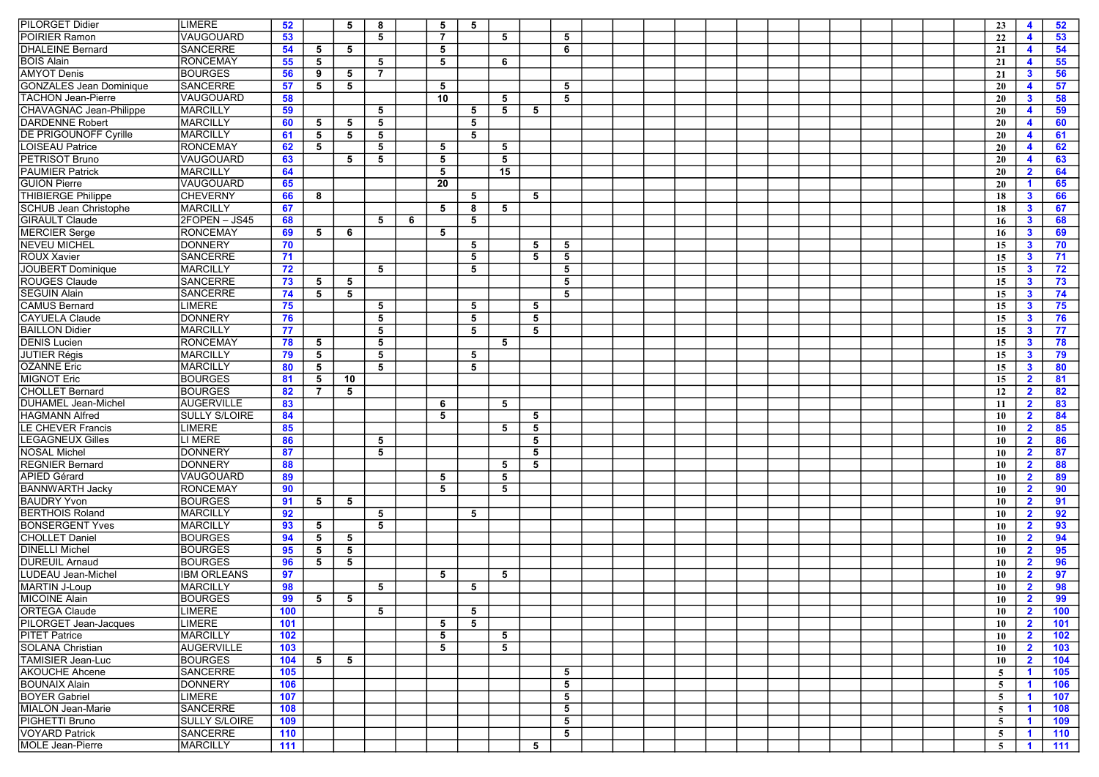| <b>LIMERE</b><br>52<br>5<br>8<br>5<br>5                                                                                                                                                                                                                                                                                                                                                                                                                        | 23<br>52<br>4                                     |
|----------------------------------------------------------------------------------------------------------------------------------------------------------------------------------------------------------------------------------------------------------------------------------------------------------------------------------------------------------------------------------------------------------------------------------------------------------------|---------------------------------------------------|
| <b>PILORGET Didier</b><br>POIRIER Ramon<br>VAUGOUARD<br>53<br>5<br>$\overline{7}$<br>5<br>5                                                                                                                                                                                                                                                                                                                                                                    | 53<br>22<br>$\blacktriangleleft$                  |
| <b>DHALEINE Bernard</b><br><b>SANCERRE</b><br>54<br>5<br>5<br>6<br>5                                                                                                                                                                                                                                                                                                                                                                                           | 54<br>21<br>4                                     |
| <b>RONCEMAY</b><br><b>BOIS Alain</b><br>55<br>5<br>5<br>5<br>6                                                                                                                                                                                                                                                                                                                                                                                                 | 55<br>4                                           |
| <b>AMYOT Denis</b><br><b>BOURGES</b><br>56<br>5<br>$\overline{7}$                                                                                                                                                                                                                                                                                                                                                                                              | 21<br>56                                          |
| 9<br><b>SANCERRE</b><br>5<br>5                                                                                                                                                                                                                                                                                                                                                                                                                                 | $\mathbf{3}$<br>21                                |
| <b>GONZALES Jean Dominique</b><br>57<br>5<br>5<br><b>TACHON Jean-Pierre</b><br>VAUGOUARD<br>5                                                                                                                                                                                                                                                                                                                                                                  | $\overline{\mathbf{4}}$<br>57<br>20               |
| 58<br>10<br>5                                                                                                                                                                                                                                                                                                                                                                                                                                                  | $\mathbf{3}$<br>58<br>20                          |
| <b>CHAVAGNAC Jean-Philippe</b><br><b>MARCILLY</b><br>59<br>5<br>5<br>5<br>5                                                                                                                                                                                                                                                                                                                                                                                    | 59<br>20<br>4                                     |
| <b>DARDENNE Robert</b><br><b>MARCILLY</b><br>60<br>5<br>5<br>5<br>5                                                                                                                                                                                                                                                                                                                                                                                            | 60<br>4<br>20                                     |
| <b>DE PRIGOUNOFF Cyrille</b><br><b>MARCILLY</b><br>5<br>61<br>5<br>5<br>5                                                                                                                                                                                                                                                                                                                                                                                      | 61<br>20<br>4                                     |
| <b>LOISEAU Patrice</b><br><b>RONCEMAY</b><br>62<br>5<br>5<br>5<br>5                                                                                                                                                                                                                                                                                                                                                                                            | $\blacktriangleleft$<br>62<br>20                  |
| <b>PETRISOT Bruno</b><br>VAUGOUARD<br>63<br>5<br>5<br>5<br>5                                                                                                                                                                                                                                                                                                                                                                                                   | 63<br>20<br>$\overline{\mathbf{4}}$               |
| <b>PAUMIER Patrick</b><br><b>MARCILLY</b><br>64<br>5<br>15                                                                                                                                                                                                                                                                                                                                                                                                     | 64<br>$\mathbf{2}$<br>20                          |
| <b>GUION Pierre</b><br>VAUGOUARD<br>65<br>20                                                                                                                                                                                                                                                                                                                                                                                                                   | 65<br>20<br>$\blacktriangleleft$                  |
| <b>THIBIERGE Philippe</b><br><b>CHEVERNY</b><br>66<br>5<br>5<br>8                                                                                                                                                                                                                                                                                                                                                                                              | $\mathbf{3}$<br>66<br>18                          |
| <b>SCHUB Jean Christophe</b><br><b>MARCILLY</b><br>67<br>5<br>8<br>5                                                                                                                                                                                                                                                                                                                                                                                           | $\mathbf{3}$<br>67<br>18                          |
| <b>GIRAULT Claude</b><br>2FOPEN - JS45<br>68<br>5<br>5<br>6                                                                                                                                                                                                                                                                                                                                                                                                    | 16<br>$\mathbf{3}$<br>68                          |
| <b>MERCIER Serge</b><br><b>RONCEMAY</b><br>69<br>5<br>6<br>5                                                                                                                                                                                                                                                                                                                                                                                                   | $\mathbf{3}$<br>69<br>16                          |
| <b>NEVEU MICHEL</b><br><b>DONNERY</b><br>70<br>5<br>5<br>5                                                                                                                                                                                                                                                                                                                                                                                                     | 15<br>$\mathbf{3}$<br>70                          |
| <b>ROUX Xavier</b><br><b>SANCERRE</b><br>71<br>5<br>5<br>5                                                                                                                                                                                                                                                                                                                                                                                                     | $\mathbf{3}$<br>71<br>15                          |
| JOUBERT Dominique<br><b>MARCILLY</b><br>72<br>5<br>5<br>5                                                                                                                                                                                                                                                                                                                                                                                                      | $\mathbf{3}$<br>72<br>15                          |
| <b>ROUGES Claude</b><br><b>SANCERRE</b><br>73<br>5<br>5<br>5                                                                                                                                                                                                                                                                                                                                                                                                   | 15<br>$\mathbf{3}$<br>73                          |
| <b>SEGUIN Alain</b><br><b>SANCERRE</b><br>5<br>74<br>5<br>5                                                                                                                                                                                                                                                                                                                                                                                                    | $\mathbf{3}$<br>74<br>15                          |
| <b>CAMUS Bernard</b><br><b>LIMERE</b><br>75<br>5<br>5<br>5                                                                                                                                                                                                                                                                                                                                                                                                     | $\mathbf{3}$<br>75<br>15                          |
| CAYUELA Claude<br><b>DONNERY</b><br>76<br>5<br>5<br>5                                                                                                                                                                                                                                                                                                                                                                                                          | $\mathbf{3}$<br>76<br>15                          |
| <b>BAILLON Didier</b><br><b>MARCILLY</b><br>77<br>5<br>5<br>5                                                                                                                                                                                                                                                                                                                                                                                                  | $\mathbf{3}$<br>15<br>77                          |
| <b>RONCEMAY</b><br><b>DENIS Lucien</b><br>78<br>5<br>5<br>5                                                                                                                                                                                                                                                                                                                                                                                                    | $\mathbf{3}$<br>78<br>15                          |
| <b>JUTIER Régis</b><br><b>MARCILLY</b><br>79<br>5<br>5<br>5                                                                                                                                                                                                                                                                                                                                                                                                    | 79<br>15<br>$\mathbf{3}$                          |
| <b>OZANNE Eric</b><br><b>MARCILLY</b><br>5<br>80<br>5<br>5                                                                                                                                                                                                                                                                                                                                                                                                     | 15<br>$\mathbf{3}$<br>80                          |
| <b>MIGNOT Eric</b><br><b>BOURGES</b><br>81<br>5<br>10                                                                                                                                                                                                                                                                                                                                                                                                          | $\overline{\mathbf{2}}$<br>15<br>81               |
| <b>CHOLLET Bernard</b><br><b>BOURGES</b><br>82<br>$\overline{7}$<br>5                                                                                                                                                                                                                                                                                                                                                                                          | $\overline{2}$<br>82<br>12                        |
| <b>AUGERVILLE</b><br>DUHAMEL Jean-Michel<br>83<br>5<br>6                                                                                                                                                                                                                                                                                                                                                                                                       | $\overline{\mathbf{2}}$<br>83<br>11               |
| HAGMANN Alfred<br><b>SULLY S/LOIRE</b><br>84<br>5<br>5                                                                                                                                                                                                                                                                                                                                                                                                         | 10<br>$\overline{\mathbf{2}}$<br>84               |
| <b>LE CHEVER Francis</b><br><b>LIMERE</b><br>85<br>5<br>5                                                                                                                                                                                                                                                                                                                                                                                                      | $\overline{2}$<br>85<br>10                        |
| <b>LEGAGNEUX Gilles</b><br>LI MERE<br>86<br>5<br>5                                                                                                                                                                                                                                                                                                                                                                                                             | $\overline{2}$<br>86<br>10                        |
| <b>DONNERY</b><br><b>NOSAL Michel</b><br>87<br>5<br>5                                                                                                                                                                                                                                                                                                                                                                                                          | $\overline{2}$<br>87<br>10                        |
| <b>REGNIER Bernard</b><br><b>DONNERY</b><br>88<br>5<br>5                                                                                                                                                                                                                                                                                                                                                                                                       | 88<br>$\mathbf{2}$<br>10                          |
| <b>APIED Gérard</b><br><b>VAUGOUARD</b><br>89<br>5<br>5                                                                                                                                                                                                                                                                                                                                                                                                        | $\mathbf{2}$                                      |
| <b>BANNWARTH Jacky</b><br><b>RONCEMAY</b><br>90<br>5<br>5                                                                                                                                                                                                                                                                                                                                                                                                      | 89<br>10                                          |
| 5                                                                                                                                                                                                                                                                                                                                                                                                                                                              | $\mathbf{2}$<br>90<br>10                          |
| <b>BOURGES</b><br><b>BAUDRY Yvon</b><br>91<br>5                                                                                                                                                                                                                                                                                                                                                                                                                |                                                   |
|                                                                                                                                                                                                                                                                                                                                                                                                                                                                | 91<br>$\mathbf{2}$<br>10                          |
| <b>MARCILLY</b><br>92<br>5<br>5                                                                                                                                                                                                                                                                                                                                                                                                                                | 92<br>$\overline{\mathbf{2}}$<br>10               |
| <b>MARCILLY</b><br>93<br>5<br>5                                                                                                                                                                                                                                                                                                                                                                                                                                | $\overline{\mathbf{2}}$<br>93<br>10               |
| <b>BOURGES</b><br>94<br>5<br>5                                                                                                                                                                                                                                                                                                                                                                                                                                 | $\overline{\mathbf{2}}$<br>94<br>10               |
| <b>BOURGES</b><br>95<br>5<br>5                                                                                                                                                                                                                                                                                                                                                                                                                                 | $\overline{2}$<br>95<br>10                        |
| <b>BOURGES</b><br>96<br>5<br>5                                                                                                                                                                                                                                                                                                                                                                                                                                 | 96<br>$\mathbf{2}$<br>10                          |
| <b>IBM ORLEANS</b><br>97<br>5<br>5                                                                                                                                                                                                                                                                                                                                                                                                                             | $\overline{2}$<br>97<br>10                        |
| <b>MARCILLY</b><br>5<br>98<br>5                                                                                                                                                                                                                                                                                                                                                                                                                                | $\mathbf{2}$<br>98<br>10                          |
| <b>BOURGES</b><br>99<br>5 <sub>5</sub><br>$5\phantom{.0}$                                                                                                                                                                                                                                                                                                                                                                                                      | $\overline{2}$<br>99<br>10                        |
| <b>LIMERE</b><br>100<br>5<br>5                                                                                                                                                                                                                                                                                                                                                                                                                                 | 100<br>10<br>$\overline{2}$                       |
| <b>LIMERE</b><br>101<br>$5^{\circ}$<br>5                                                                                                                                                                                                                                                                                                                                                                                                                       | $\overline{2}$<br>101<br>10                       |
| <b>MARCILLY</b><br>102<br>5<br>5                                                                                                                                                                                                                                                                                                                                                                                                                               | 102<br>10<br>$\overline{\mathbf{2}}$              |
| <b>AUGERVILLE</b><br>103<br>5<br>5                                                                                                                                                                                                                                                                                                                                                                                                                             | $\overline{2}$<br>103<br>10                       |
| <b>BOURGES</b><br>104<br>5<br>5                                                                                                                                                                                                                                                                                                                                                                                                                                | 104<br>10<br>$\mathbf{2}$                         |
| <b>SANCERRE</b><br>105<br>5                                                                                                                                                                                                                                                                                                                                                                                                                                    | 5<br>105<br>$\blacktriangleleft$                  |
| <b>DONNERY</b><br>106<br>5                                                                                                                                                                                                                                                                                                                                                                                                                                     | 5<br>106<br>$\blacktriangleleft$                  |
| LIMERE<br>107<br>5                                                                                                                                                                                                                                                                                                                                                                                                                                             | 5<br>107<br>$\blacktriangleleft$                  |
| <b>BERTHOIS Roland</b><br><b>BONSERGENT Yves</b><br><b>CHOLLET Daniel</b><br><b>DINELLI Michel</b><br><b>DUREUIL Arnaud</b><br>LUDEAU Jean-Michel<br><b>MARTIN J-Loup</b><br><b>MICOINE Alain</b><br><b>ORTEGA Claude</b><br>PILORGET Jean-Jacques<br><b>PITET Patrice</b><br><b>SOLANA Christian</b><br>TAMISIER Jean-Luc<br><b>AKOUCHE Ahcene</b><br><b>BOUNAIX Alain</b><br><b>BOYER Gabriel</b><br><b>SANCERRE</b><br><b>MIALON Jean-Marie</b><br>108<br>5 | 5 <sup>5</sup><br>$\blacktriangleleft$<br>108     |
| PIGHETTI Bruno<br>5                                                                                                                                                                                                                                                                                                                                                                                                                                            | 5 <sup>5</sup><br>$\blacktriangleleft$            |
| <b>SULLY S/LOIRE</b><br>109<br><b>SANCERRE</b><br><b>VOYARD Patrick</b><br>110<br>5                                                                                                                                                                                                                                                                                                                                                                            | 109<br>$\blacktriangleleft$<br>110<br>$5^{\circ}$ |